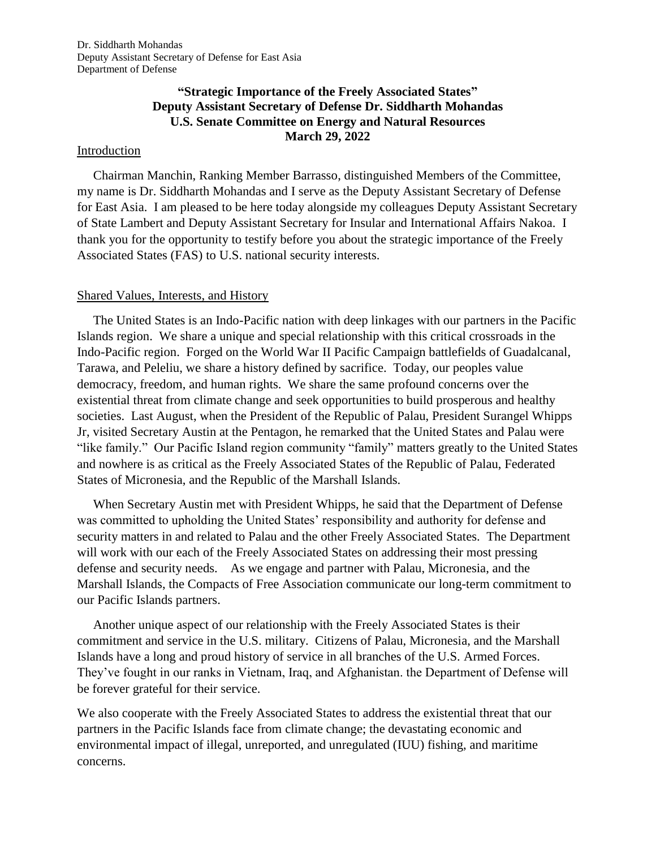## **"Strategic Importance of the Freely Associated States" Deputy Assistant Secretary of Defense Dr. Siddharth Mohandas U.S. Senate Committee on Energy and Natural Resources March 29, 2022**

#### Introduction

 Chairman Manchin, Ranking Member Barrasso, distinguished Members of the Committee, my name is Dr. Siddharth Mohandas and I serve as the Deputy Assistant Secretary of Defense for East Asia. I am pleased to be here today alongside my colleagues Deputy Assistant Secretary of State Lambert and Deputy Assistant Secretary for Insular and International Affairs Nakoa. I thank you for the opportunity to testify before you about the strategic importance of the Freely Associated States (FAS) to U.S. national security interests.

#### Shared Values, Interests, and History

 The United States is an Indo-Pacific nation with deep linkages with our partners in the Pacific Islands region. We share a unique and special relationship with this critical crossroads in the Indo-Pacific region. Forged on the World War II Pacific Campaign battlefields of Guadalcanal, Tarawa, and Peleliu, we share a history defined by sacrifice. Today, our peoples value democracy, freedom, and human rights. We share the same profound concerns over the existential threat from climate change and seek opportunities to build prosperous and healthy societies. Last August, when the President of the Republic of Palau, President Surangel Whipps Jr, visited Secretary Austin at the Pentagon, he remarked that the United States and Palau were "like family." Our Pacific Island region community "family" matters greatly to the United States and nowhere is as critical as the Freely Associated States of the Republic of Palau, Federated States of Micronesia, and the Republic of the Marshall Islands.

 When Secretary Austin met with President Whipps, he said that the Department of Defense was committed to upholding the United States' responsibility and authority for defense and security matters in and related to Palau and the other Freely Associated States. The Department will work with our each of the Freely Associated States on addressing their most pressing defense and security needs. As we engage and partner with Palau, Micronesia, and the Marshall Islands, the Compacts of Free Association communicate our long-term commitment to our Pacific Islands partners.

 Another unique aspect of our relationship with the Freely Associated States is their commitment and service in the U.S. military. Citizens of Palau, Micronesia, and the Marshall Islands have a long and proud history of service in all branches of the U.S. Armed Forces. They've fought in our ranks in Vietnam, Iraq, and Afghanistan. the Department of Defense will be forever grateful for their service.

We also cooperate with the Freely Associated States to address the existential threat that our partners in the Pacific Islands face from climate change; the devastating economic and environmental impact of illegal, unreported, and unregulated (IUU) fishing, and maritime concerns.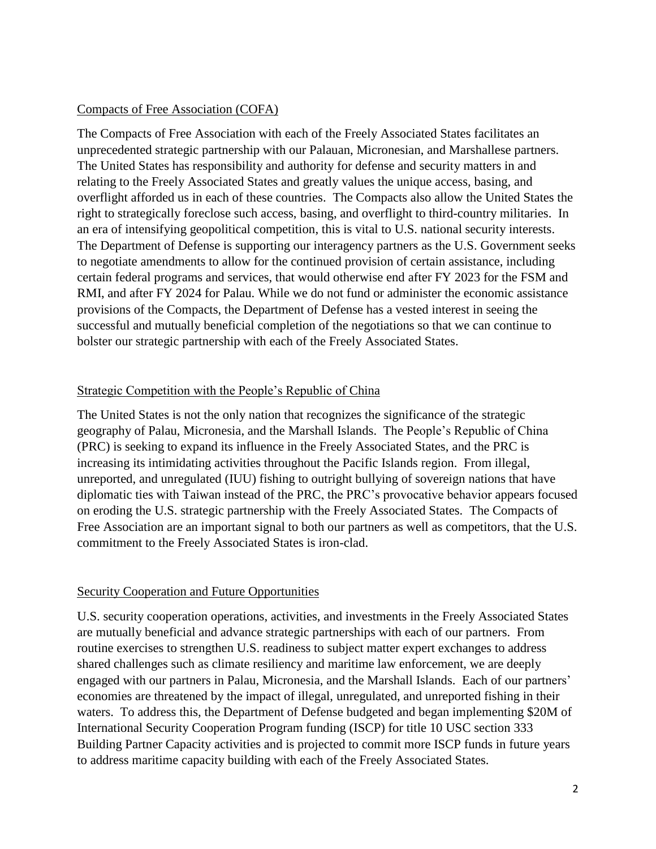## Compacts of Free Association (COFA)

The Compacts of Free Association with each of the Freely Associated States facilitates an unprecedented strategic partnership with our Palauan, Micronesian, and Marshallese partners. The United States has responsibility and authority for defense and security matters in and relating to the Freely Associated States and greatly values the unique access, basing, and overflight afforded us in each of these countries. The Compacts also allow the United States the right to strategically foreclose such access, basing, and overflight to third-country militaries. In an era of intensifying geopolitical competition, this is vital to U.S. national security interests. The Department of Defense is supporting our interagency partners as the U.S. Government seeks to negotiate amendments to allow for the continued provision of certain assistance, including certain federal programs and services, that would otherwise end after FY 2023 for the FSM and RMI, and after FY 2024 for Palau. While we do not fund or administer the economic assistance provisions of the Compacts, the Department of Defense has a vested interest in seeing the successful and mutually beneficial completion of the negotiations so that we can continue to bolster our strategic partnership with each of the Freely Associated States.

### Strategic Competition with the People's Republic of China

The United States is not the only nation that recognizes the significance of the strategic geography of Palau, Micronesia, and the Marshall Islands. The People's Republic of China (PRC) is seeking to expand its influence in the Freely Associated States, and the PRC is increasing its intimidating activities throughout the Pacific Islands region. From illegal, unreported, and unregulated (IUU) fishing to outright bullying of sovereign nations that have diplomatic ties with Taiwan instead of the PRC, the PRC's provocative behavior appears focused on eroding the U.S. strategic partnership with the Freely Associated States. The Compacts of Free Association are an important signal to both our partners as well as competitors, that the U.S. commitment to the Freely Associated States is iron-clad.

#### Security Cooperation and Future Opportunities

U.S. security cooperation operations, activities, and investments in the Freely Associated States are mutually beneficial and advance strategic partnerships with each of our partners. From routine exercises to strengthen U.S. readiness to subject matter expert exchanges to address shared challenges such as climate resiliency and maritime law enforcement, we are deeply engaged with our partners in Palau, Micronesia, and the Marshall Islands. Each of our partners' economies are threatened by the impact of illegal, unregulated, and unreported fishing in their waters. To address this, the Department of Defense budgeted and began implementing \$20M of International Security Cooperation Program funding (ISCP) for title 10 USC section 333 Building Partner Capacity activities and is projected to commit more ISCP funds in future years to address maritime capacity building with each of the Freely Associated States.